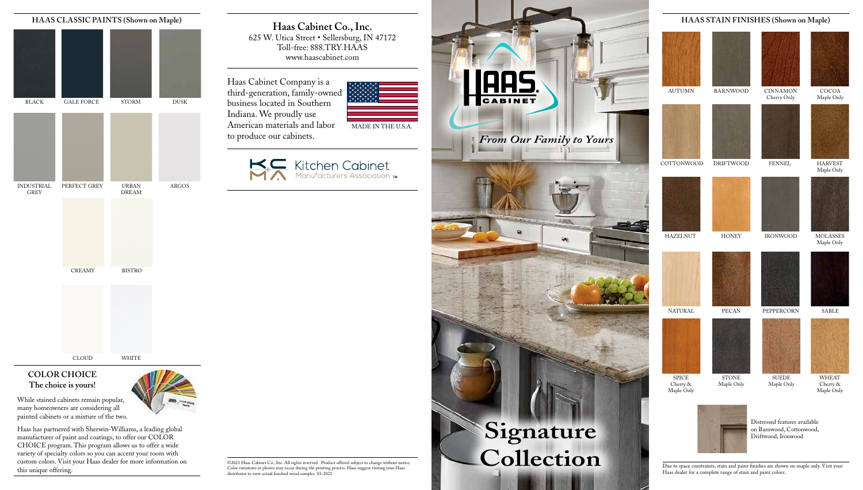Due to space constraints, stain and paint finishes are shown on maple only. Visit your Haas dealer for a complete range of stain and paint colors.

DRIFTWOOD



**HONEY** 

Distressed features available on Barnwood, Cottonwood, Driftwood, Ironwood

## **HAAS STAIN FINISHES (Shown on Maple)**

BARNWOOD

STONE Maple Only

PECAN



AUTUMN



HAZELNUT





COTTONWOOD

SPICE Cherry & Maple Only

NATURAL





COCOA Maple Only



MOLASSES Maple Only



HARVEST Maple Only



WHEAT Cherry & Maple Only





SABLE



CINNAMON Cherry Only



IRONWOOD



FENNEL

SUEDE Maple Only

PEPPERCORN

**Haas Cabinet Co., Inc.** 625 W. Utica Street • Sellersburg, IN 47172 Toll-free: 888.TRY.HAAS www.haascabinet.com

©2021 Haas Cabinet Co., Inc. All rights reserved. Product offered subject to change without notice. Color variations in photos may occur during the printing process. Haas suggest visiting your Haas distributor to view actual finished wood samples. 03-2021

Haas Cabinet Company is a third-generation, family-owned business located in Southern Indiana. We proudly use American materials and labor to produce our cabinets.









While stained cabinets remain popular, many homeowners are considering all painted cabinets or a mixture of the two.



Haas has partnered with Sherwin-Williams, a leading global manufacturer of paint and coatings, to offer our COLOR CHOICE program. This program allows us to offer a wide variety of specialty colors so you can accent your room with custom colors. Visit your Haas dealer for more information on this unique offering.

## **COLOR CHOICE The choice is yours!**



DREAM



INDUSTRIAL ARGOS PERFECT GREY

GREY